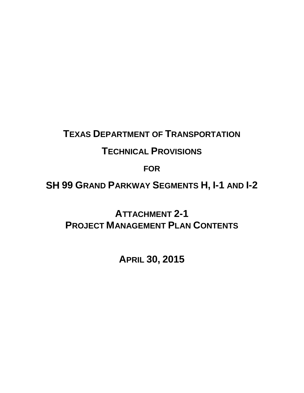# **TEXAS DEPARTMENT OF TRANSPORTATION**

# **TECHNICAL PROVISIONS**

**FOR**

**SH 99 GRAND PARKWAY SEGMENTS H, I-1 AND I-2** 

**ATTACHMENT 2-1 PROJECT MANAGEMENT PLAN CONTENTS**

**APRIL 30, 2015**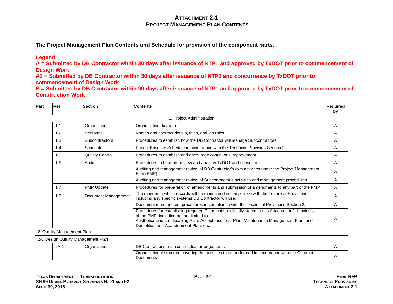**The Project Management Plan Contents and Schedule for provision of the component parts.** 

#### **Legend**

**A = Submitted by DB Contractor within 30 days after issuance of NTP1 and approved by TxDOT prior to commencement of Design Work**

**A1 = Submitted by DB Contractor within 30 days after issuance of NTP1 and concurrence by TxDOT prior to commencement of Design Work**

**B = Submitted by DB Contractor within 90 days after issuance of NTP1 and approved by TxDOT prior to commencement of Construction Work** 

| Part | <b>Ref</b>                 | <b>Section</b>                     | <b>Contents</b>                                                                                                                                                                                                                                                                      | Required<br>by |
|------|----------------------------|------------------------------------|--------------------------------------------------------------------------------------------------------------------------------------------------------------------------------------------------------------------------------------------------------------------------------------|----------------|
|      |                            |                                    | 1. Project Administration                                                                                                                                                                                                                                                            |                |
|      | 1.1                        | Organization                       | Organization diagram                                                                                                                                                                                                                                                                 | A              |
|      | 1.2                        | Personnel                          | Names and contract details, titles, and job roles                                                                                                                                                                                                                                    | Α              |
|      | 1.3                        | Subcontractors                     | Procedures to establish how the DB Contractor will manage Subcontractors                                                                                                                                                                                                             | A              |
|      | 1.4                        | Schedule                           | Project Baseline Schedule in accordance with the Technical Provision Section 2                                                                                                                                                                                                       | A              |
|      | 1.5                        | <b>Quality Control</b>             | Procedures to establish and encourage continuous improvement                                                                                                                                                                                                                         | A              |
|      | 1.6                        | Audit                              | Procedures to facilitate review and audit by TxDOT and consultants.                                                                                                                                                                                                                  | A              |
|      |                            |                                    | Auditing and management review of DB Contractor's own activities under the Project Management<br>Plan (PMP)                                                                                                                                                                          | A              |
|      |                            |                                    | Auditing and management review of Subcontractor's activities and management procedures                                                                                                                                                                                               | A              |
|      | 1.7                        | PMP Update                         | Procedures for preparation of amendments and submission of amendments to any part of the PMP                                                                                                                                                                                         | A              |
|      | 1.8                        | Document Management                | The manner in which records will be maintained in compliance with the Technical Provisions,<br>including any specific systems DB Contractor will use.                                                                                                                                | A              |
|      |                            |                                    | Document management procedures in compliance with the Technical Provisions Section 2.                                                                                                                                                                                                | A              |
|      |                            |                                    | Procedures for establishing required Plans not specifically stated in this Attachment 2-1 inclusive<br>of the PMP, including but not limited to:<br>Aesthetics and Landscaping Plan, Acceptance Test Plan, Maintenance Management Plan, and<br>Demolition and Abandonment Plan, etc. | A              |
|      | 2. Quality Management Plan |                                    |                                                                                                                                                                                                                                                                                      |                |
|      |                            | 2A. Design Quality Management Plan |                                                                                                                                                                                                                                                                                      |                |
|      | 2A.1                       | Organization                       | DB Contractor's main contractual arrangements                                                                                                                                                                                                                                        | A              |
|      |                            |                                    | Organizational structure covering the activities to be performed in accordance with the Contract<br><b>Documents</b>                                                                                                                                                                 | A              |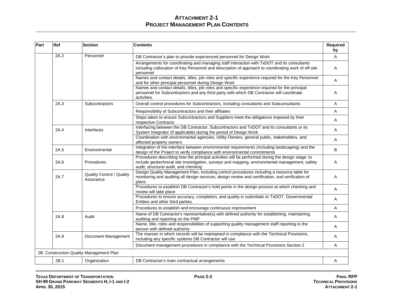| Part | Ref  | <b>Section</b>                                | Contents                                                                                                                                                                                                                                    | Required<br>by |
|------|------|-----------------------------------------------|---------------------------------------------------------------------------------------------------------------------------------------------------------------------------------------------------------------------------------------------|----------------|
|      | 2A.2 | Personnel                                     | DB Contractor's plan to provide experienced personnel for Design Work                                                                                                                                                                       | A              |
|      |      |                                               | Arrangements for coordinating and managing staff interaction with TxDOT and its consultants<br>including collocation of Key Personnel and description of approach to coordinating work of off-site<br>personnel                             | Α              |
|      |      |                                               | Names and contact details, titles, job roles and specific experience required for the Key Personnel<br>and for other principal personnel during Design Work                                                                                 | A              |
|      |      |                                               | Names and contact details, titles, job roles and specific experience required for the principal<br>personnel for Subcontractors and any third party with which DB Contractor will coordinate<br>activities.                                 | Α              |
|      | 2A.3 | Subcontractors                                | Overall control procedures for Subcontractors, including consultants and Subconsultants                                                                                                                                                     | A              |
|      |      |                                               | Responsibility of Subcontractors and their affiliates                                                                                                                                                                                       | A              |
|      |      |                                               | Steps taken to ensure Subcontractors and Suppliers meet the obligations imposed by their<br>respective Contracts                                                                                                                            | Α              |
|      | 2A.4 | Interfaces                                    | Interfacing between the DB Contractor, Subcontractors and TxDOT and its consultants or its<br>System Integrator (if applicable) during the period of Design Work                                                                            | A              |
|      |      |                                               | Coordination with environmental agencies, Utility Owners, general public, stakeholders, and<br>affected property owners                                                                                                                     | Α              |
|      | 2A.5 | Environmental                                 | Integration of the interface between environmental requirements (including landscaping) and the<br>design of the Project to verify compliance with environmental commitments                                                                | B              |
|      | 2A.6 | Procedures                                    | Procedures describing how the principal activities will be performed during the design stage: to<br>include geotechnical site investigation, surveys and mapping, environmental management, safety<br>audit, structural audit, and checking | A              |
|      | 2A.7 | <b>Quality Control / Quality</b><br>Assurance | Design Quality Management Plan, including control procedures including a resource table for<br>monitoring and auditing all design services, design review and certification, and verification of<br>plans                                   | Α              |
|      |      |                                               | Procedures to establish DB Contractor's hold points in the design process at which checking and<br>review will take place                                                                                                                   | Α              |
|      |      |                                               | Procedures to ensure accuracy, completion, and quality in submittals to TxDOT, Governmental<br>Entities and other third parties.                                                                                                            | Α              |
|      |      |                                               | Procedures to establish and encourage continuous improvement                                                                                                                                                                                | A              |
|      | 2A.8 | Audit                                         | Name of DB Contractor's representative(s) with defined authority for establishing, maintaining,<br>auditing and reporting on the PMP                                                                                                        | Α              |
|      |      |                                               | Name, title, roles and responsibilities of supporting quality management staff reporting to the<br>person with defined authority                                                                                                            | A              |
|      | 2A.9 | Document Management                           | The manner in which records will be maintained in compliance with the Technical Provisions,<br>including any specific systems DB Contractor will use                                                                                        | A              |
|      |      |                                               | Document management procedures in compliance with the Technical Provisions Section 2                                                                                                                                                        | Α              |
|      |      | 2B. Construction Quality Management Plan      |                                                                                                                                                                                                                                             |                |
|      | 2B.1 | Organization                                  | DB Contractor's main contractual arrangements                                                                                                                                                                                               | Α              |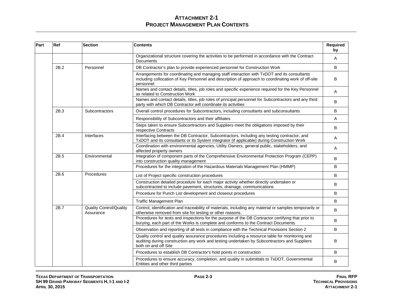| Part | Ref  | <b>Section</b>                              | <b>Contents</b>                                                                                                                                                                                                        | Required<br>by |
|------|------|---------------------------------------------|------------------------------------------------------------------------------------------------------------------------------------------------------------------------------------------------------------------------|----------------|
|      |      |                                             | Organizational structure covering the activities to be performed in accordance with the Contract<br><b>Documents</b>                                                                                                   | Α              |
|      | 2B.2 | Personnel                                   | DB Contractor's plan to provide experienced personnel for Construction Work                                                                                                                                            | B              |
|      |      |                                             | Arrangements for coordinating and managing staff interaction with TxDOT and its consultants<br>including collocation of Key Personnel and description of approach to coordinating work of off-site<br>personnel        | B              |
|      |      |                                             | Names and contact details, titles, job roles and specific experience required for the Key Personnel<br>as related to Construction Work                                                                                 | A              |
|      |      |                                             | Names and contact details, titles, job roles of principal personnel for Subcontractors and any third<br>party with which DB Contractor will coordinate its activities                                                  | В              |
|      | 2B.3 | Subcontractors                              | Overall control procedures for Subcontractors, including consultants and subconsultants                                                                                                                                | В              |
|      |      |                                             | Responsibility of Subcontractors and their affiliates                                                                                                                                                                  | A              |
|      |      |                                             | Steps taken to ensure Subcontractors and Suppliers meet the obligations imposed by their<br>respective Contracts                                                                                                       | B              |
|      | 2B.4 | Interfaces                                  | Interfacing between the DB Contractor, Subcontractors, including any testing contractor, and<br>TxDOT and its consultants or its System Integrator (if applicable) during Construction Work                            | Α              |
|      |      |                                             | Coordination with environmental agencies, Utility Owners, general public, stakeholders, and<br>affected property owners                                                                                                | A              |
|      | 2B.5 | Environmental                               | Integration of component parts of the Comprehensive Environmental Protection Program (CEPP)<br>into construction quality management                                                                                    | В              |
|      |      |                                             | Procedures for the integration of the Hazardous Materials Management Plan (HMMP)                                                                                                                                       | B              |
|      | 2B.6 | Procedures                                  | List of Project specific construction procedures                                                                                                                                                                       | В              |
|      |      |                                             | Construction detailed procedure for each major activity whether directly undertaken or<br>subcontracted to include pavement, structures, drainage, communications                                                      | В              |
|      |      |                                             | Procedure for Punch List development and closeout procedures                                                                                                                                                           | В              |
|      |      |                                             | <b>Traffic Management Plan</b>                                                                                                                                                                                         | B              |
|      | 2B.7 | <b>Quality Control/Quality</b><br>Assurance | Control, identification and traceability of materials, including any material or samples temporarily or<br>otherwise removed from site for testing or other reasons.                                                   | В              |
|      |      |                                             | Procedures for tests and inspections for the purpose of the DB Contractor certifying that prior to<br>burying, each part of the Works is complete and conforms to the Contract Documents                               | В              |
|      |      |                                             | Observation and reporting of all tests in compliance with the Technical Provisions Section 2                                                                                                                           | В              |
|      |      |                                             | Quality control and quality assurance procedures including a resource table for monitoring and<br>auditing during construction any work and testing undertaken by Subcontractors and Suppliers<br>both on and off Site | В              |
|      |      |                                             | Procedures to establish DB Contractor's hold points in construction                                                                                                                                                    | В              |
|      |      |                                             | Procedures to ensure accuracy, completion, and quality in submittals to TxDOT, Governmental<br>Entities and other third parties                                                                                        | В              |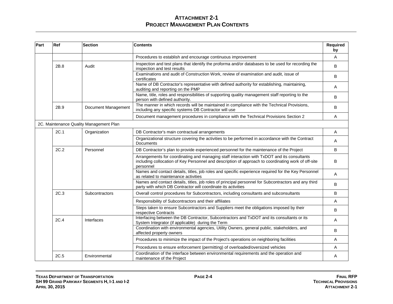| Part | Ref  | <b>Section</b>                          | <b>Contents</b>                                                                                                                                                                                                 | Required<br>by |
|------|------|-----------------------------------------|-----------------------------------------------------------------------------------------------------------------------------------------------------------------------------------------------------------------|----------------|
|      |      |                                         | Procedures to establish and encourage continuous improvement                                                                                                                                                    | A              |
|      | 2B.8 | Audit                                   | Inspection and test plans that identify the proforma and/or databases to be used for recording the<br>inspection and test results                                                                               | B              |
|      |      |                                         | Examinations and audit of Construction Work, review of examination and audit, issue of<br>certificates                                                                                                          | B              |
|      |      |                                         | Name of DB Contractor's representative with defined authority for establishing, maintaining,<br>auditing and reporting on the PMP                                                                               | A              |
|      |      |                                         | Name, title, roles and responsibilities of supporting quality management staff reporting to the<br>person with defined authority.                                                                               | B              |
|      | 2B.9 | Document Management                     | The manner in which records will be maintained in compliance with the Technical Provisions,<br>including any specific systems DB Contractor will use                                                            | B              |
|      |      |                                         | Document management procedures in compliance with the Technical Provisions Section 2                                                                                                                            | A              |
|      |      | 2C. Maintenance Quality Management Plan |                                                                                                                                                                                                                 |                |
|      | 2C.1 | Organization                            | DB Contractor's main contractual arrangements                                                                                                                                                                   | Α              |
|      |      |                                         | Organizational structure covering the activities to be performed in accordance with the Contract<br><b>Documents</b>                                                                                            | Α              |
|      | 2C.2 | Personnel                               | DB Contractor's plan to provide experienced personnel for the maintenance of the Project                                                                                                                        | B              |
|      |      |                                         | Arrangements for coordinating and managing staff interaction with TxDOT and its consultants<br>including collocation of Key Personnel and description of approach to coordinating work of off-site<br>personnel | B              |
|      |      |                                         | Names and contact details, titles, job roles and specific experience required for the Key Personnel<br>as related to maintenance activities                                                                     | A              |
|      |      |                                         | Names and contact details, titles, job roles of principal personnel for Subcontractors and any third<br>party with which DB Contractor will coordinate its activities                                           | B              |
|      | 2C.3 | Subcontractors                          | Overall control procedures for Subcontractors, including consultants and subconsultants                                                                                                                         | B              |
|      |      |                                         | Responsibility of Subcontractors and their affiliates                                                                                                                                                           | A              |
|      |      |                                         | Steps taken to ensure Subcontractors and Suppliers meet the obligations imposed by their<br>respective Contracts                                                                                                | B              |
|      | 2C.4 | Interfaces                              | Interfacing between the DB Contractor, Subcontractors and TxDOT and its consultants or its<br>System Integrator (if applicable) during the Term                                                                 | A              |
|      |      |                                         | Coordination with environmental agencies, Utility Owners, general public, stakeholders, and<br>affected property owners                                                                                         | B              |
|      |      |                                         | Procedures to minimize the impact of the Project's operations on neighboring facilities                                                                                                                         | Α              |
|      |      |                                         | Procedures to ensure enforcement (permitting) of overloaded/oversized vehicles                                                                                                                                  | A              |
|      | 2C.5 | Environmental                           | Coordination of the interface between environmental requirements and the operation and<br>maintenance of the Project                                                                                            | Α              |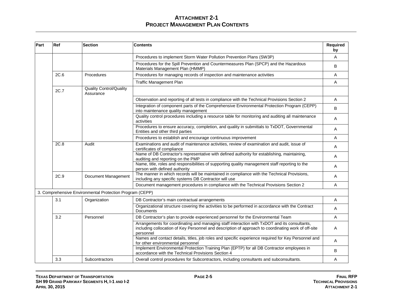| Part | Ref  | <b>Section</b>                                           | <b>Contents</b>                                                                                                                                                                                                  | <b>Required</b><br>by |
|------|------|----------------------------------------------------------|------------------------------------------------------------------------------------------------------------------------------------------------------------------------------------------------------------------|-----------------------|
|      |      |                                                          | Procedures to implement Storm Water Pollution Prevention Plans (SW3P)                                                                                                                                            | A                     |
|      |      |                                                          | Procedures for the Spill Prevention and Countermeasures Plan (SPCP) and the Hazardous<br>Materials Management Plan (HMMP)                                                                                        | B                     |
|      | 2C.6 | Procedures                                               | Procedures for managing records of inspection and maintenance activities                                                                                                                                         | A                     |
|      |      |                                                          | <b>Traffic Management Plan</b>                                                                                                                                                                                   | A                     |
|      | 2C.7 | <b>Quality Control/Quality</b><br>Assurance              |                                                                                                                                                                                                                  |                       |
|      |      |                                                          | Observation and reporting of all tests in compliance with the Technical Provisions Section 2                                                                                                                     | A                     |
|      |      |                                                          | Integration of component parts of the Comprehensive Environmental Protection Program (CEPP)<br>into maintenance quality management                                                                               | B                     |
|      |      |                                                          | Quality control procedures including a resource table for monitoring and auditing all maintenance<br>activities                                                                                                  | Α                     |
|      |      |                                                          | Procedures to ensure accuracy, completion, and quality in submittals to TxDOT, Governmental<br>Entities and other third parties                                                                                  | A                     |
|      |      |                                                          | Procedures to establish and encourage continuous improvement                                                                                                                                                     | A                     |
|      | 2C.8 | Audit                                                    | Examinations and audit of maintenance activities, review of examination and audit, issue of<br>certificates of compliance                                                                                        | A                     |
|      |      |                                                          | Name of DB Contractor's representative with defined authority for establishing, maintaining,<br>auditing and reporting on the PMP                                                                                | A                     |
|      |      |                                                          | Name, title, roles and responsibilities of supporting quality management staff reporting to the<br>person with defined authority                                                                                 | Α                     |
|      | 2C.9 | Document Management                                      | The manner in which records will be maintained in compliance with the Technical Provisions,<br>including any specific systems DB Contractor will use                                                             | A                     |
|      |      |                                                          | Document management procedures in compliance with the Technical Provisions Section 2                                                                                                                             | A                     |
|      |      | 3. Comprehensive Environmental Protection Program (CEPP) |                                                                                                                                                                                                                  |                       |
|      | 3.1  | Organization                                             | DB Contractor's main contractual arrangements                                                                                                                                                                    | Α                     |
|      |      |                                                          | Organizational structure covering the activities to be performed in accordance with the Contract<br><b>Documents</b>                                                                                             | A                     |
|      | 3.2  | Personnel                                                | DB Contractor's plan to provide experienced personnel for the Environmental Team                                                                                                                                 | Α                     |
|      |      |                                                          | Arrangements for coordinating and managing staff interaction with TxDOT and its consultants,<br>including collocation of Key Personnel and description of approach to coordinating work of off-site<br>personnel | Α                     |
|      |      |                                                          | Names and contact details, titles, job roles and specific experience required for Key Personnel and<br>for other environmental personnel                                                                         | Α                     |
|      |      |                                                          | Implement Environmental Protection Training Plan (EPTP) for all DB Contractor employees in<br>accordance with the Technical Provisions Section 4                                                                 | B                     |
|      | 3.3  | Subcontractors                                           | Overall control procedures for Subcontractors, including consultants and subconsultants.                                                                                                                         | Α                     |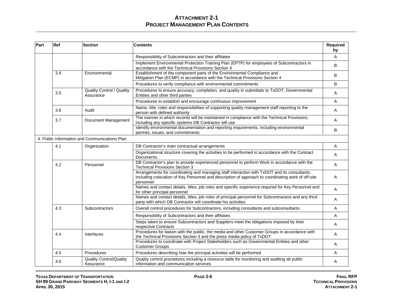| Part | Ref | <b>Section</b>                                | <b>Contents</b>                                                                                                                                                                                                 | Required<br>by |
|------|-----|-----------------------------------------------|-----------------------------------------------------------------------------------------------------------------------------------------------------------------------------------------------------------------|----------------|
|      |     |                                               | Responsibility of Subcontractors and their affiliates                                                                                                                                                           | A              |
|      |     |                                               | Implement Environmental Protection Training Plan (EPTP) for employees of Subcontractors in<br>accordance with the Technical Provisions Section 4                                                                | B              |
|      | 3.4 | Environmental                                 | Establishment of the component parts of the Environmental Compliance and<br>Mitigation Plan (ECMP) in accordance with the Technical Provisions Section 4                                                        | B              |
|      |     |                                               | Procedures to verify compliance with environmental commitments                                                                                                                                                  | B              |
|      | 3.5 | <b>Quality Control / Quality</b><br>Assurance | Procedures to ensure accuracy, completion, and quality in submittals to TxDOT, Governmental<br>Entities and other third parties                                                                                 | Α              |
|      |     |                                               | Procedures to establish and encourage continuous improvement                                                                                                                                                    | Α              |
|      | 3.6 | Audit                                         | Name, title, roles and responsibilities of supporting quality management staff reporting to the<br>person with defined authority                                                                                | Α              |
|      | 3.7 | Document Management                           | The manner in which records will be maintained in compliance with the Technical Provisions,<br>including any specific systems DB Contractor will use                                                            | Α              |
|      |     |                                               | Identify environmental documentation and reporting requirements, including environmental<br>permits, issues, and commitments                                                                                    | В              |
|      |     | 4. Public Information and Communications Plan |                                                                                                                                                                                                                 |                |
|      | 4.1 | Organization                                  | DB Contractor's main contractual arrangements                                                                                                                                                                   | A              |
|      |     |                                               | Organizational structure covering the activities to be performed in accordance with the Contract<br>Documents.                                                                                                  | Α              |
|      | 4.2 | Personnel                                     | DB Contractor's plan to provide experienced personnel to perform Work in accordance with the<br><b>Technical Provisions Section 3</b>                                                                           | Α              |
|      |     |                                               | Arrangements for coordinating and managing staff interaction with TxDOT and its consultants,<br>including colocation of Key Personnel and description of approach to coordinating work of off-site<br>personnel | Α              |
|      |     |                                               | Names and contact details, titles, job roles and specific experience required for Key Personnel and<br>for other principal personnel                                                                            | A              |
|      |     |                                               | Names and contact details, titles, job roles of principal personnel for Subcontractors and any third<br>party with which DB Contractor will coordinate his activities                                           | A              |
|      | 4.3 | Subcontractors                                | Overall control procedures for Subcontractors, including consultants and subconsultants                                                                                                                         | Α              |
|      |     |                                               | Responsibility of Subcontractors and their affiliates                                                                                                                                                           | A              |
|      |     |                                               | Steps taken to ensure Subcontractors and Suppliers meet the obligations imposed by their<br>respective Contracts                                                                                                | A              |
|      | 4.4 | Interfaces                                    | Procedures for liaison with the public, the media and other Customer Groups in accordance with<br>the Technical Provisions Section 3 and the press media policy of TxDOT                                        | Α              |
|      |     |                                               | Procedures to coordinate with Project Stakeholders such as Governmental Entities and other<br><b>Customer Groups</b>                                                                                            | Α              |
|      | 4.5 | Procedures                                    | Procedures describing how the principal activities will be performed                                                                                                                                            | Α              |
|      | 4.6 | Quality Control/Quality<br>Assurance          | Quality control procedures including a resource table for monitoring and auditing all public<br>information and communication services                                                                          | Α              |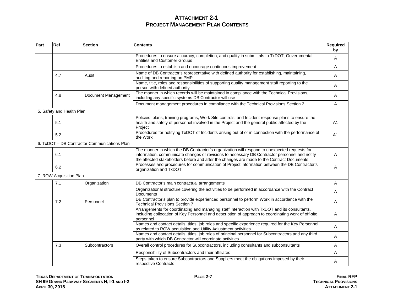| Part | Ref                       | <b>Section</b>                               | <b>Contents</b>                                                                                                                                                                                                                                                                             | Required<br>by |
|------|---------------------------|----------------------------------------------|---------------------------------------------------------------------------------------------------------------------------------------------------------------------------------------------------------------------------------------------------------------------------------------------|----------------|
|      |                           |                                              | Procedures to ensure accuracy, completion, and quality in submittals to TxDOT, Governmental<br><b>Entities and Customer Groups</b>                                                                                                                                                          | A              |
|      |                           |                                              | Procedures to establish and encourage continuous improvement                                                                                                                                                                                                                                | Α              |
|      | 4.7                       | Audit                                        | Name of DB Contractor's representative with defined authority for establishing, maintaining,<br>auditing and reporting on PMP                                                                                                                                                               | A              |
|      |                           |                                              | Name, title, roles and responsibilities of supporting quality management staff reporting to the<br>person with defined authority                                                                                                                                                            | A              |
|      | 4.8                       | Document Management                          | The manner in which records will be maintained in compliance with the Technical Provisions,<br>including any specific systems DB Contractor will use                                                                                                                                        | Α              |
|      |                           |                                              | Document management procedures in compliance with the Technical Provisions Section 2                                                                                                                                                                                                        | A              |
|      | 5. Safety and Health Plan |                                              |                                                                                                                                                                                                                                                                                             |                |
|      | 5.1                       |                                              | Policies, plans, training programs, Work Site controls, and Incident response plans to ensure the<br>health and safety of personnel involved in the Project and the general public affected by the<br>Project                                                                               | A <sub>1</sub> |
|      | 5.2                       |                                              | Procedures for notifying TxDOT of Incidents arising out of or in connection with the performance of<br>the Work                                                                                                                                                                             | A1             |
|      |                           | 6. TxDOT - DB Contractor Communications Plan |                                                                                                                                                                                                                                                                                             |                |
|      | 6.1                       |                                              | The manner in which the DB Contractor's organization will respond to unexpected requests for<br>information, communicate changes or revisions to necessary DB Contractor personnel and notify<br>the affected stakeholders before and after the changes are made to the Contract Documents. | A              |
|      | 6.2                       |                                              | Processes and procedures for communication of Project information between the DB Contractor's<br>organization and TxDOT                                                                                                                                                                     | A              |
|      | 7. ROW Acquisition Plan   |                                              |                                                                                                                                                                                                                                                                                             |                |
|      | 7.1                       | Organization                                 | DB Contractor's main contractual arrangements                                                                                                                                                                                                                                               | A              |
|      |                           |                                              | Organizational structure covering the activities to be performed in accordance with the Contract<br>Documents                                                                                                                                                                               | Α              |
|      | 7.2                       | Personnel                                    | DB Contractor's plan to provide experienced personnel to perform Work in accordance with the<br><b>Technical Provisions Section 7</b>                                                                                                                                                       | Α              |
|      |                           |                                              | Arrangements for coordinating and managing staff interaction with TxDOT and its consultants,<br>including collocation of Key Personnel and description of approach to coordinating work of off-site<br>personnel                                                                            | Α              |
|      |                           |                                              | Names and contact details, titles, job roles and specific experience required for the Key Personnel<br>as related to ROW acquisition and Utility Adjustment activities.                                                                                                                     | A              |
|      |                           |                                              | Names and contact details, titles, job roles of principal personnel for Subcontractors and any third<br>party with which DB Contractor will coordinate activities                                                                                                                           | A              |
|      | 7.3                       | Subcontractors                               | Overall control procedures for Subcontractors, including consultants and subconsultants                                                                                                                                                                                                     | Α              |
|      |                           |                                              | Responsibility of Subcontractors and their affiliates                                                                                                                                                                                                                                       | Α              |
|      |                           |                                              | Steps taken to ensure Subcontractors and Suppliers meet the obligations imposed by their<br>respective Contracts                                                                                                                                                                            | Α              |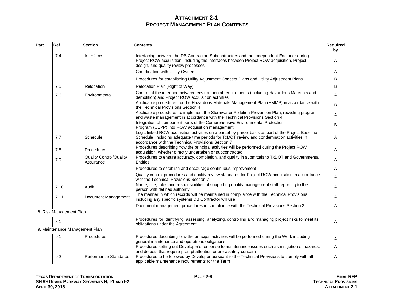| Part | Ref                     | <b>Section</b>                              | <b>Contents</b>                                                                                                                                                                                                                                        | Required<br>by |
|------|-------------------------|---------------------------------------------|--------------------------------------------------------------------------------------------------------------------------------------------------------------------------------------------------------------------------------------------------------|----------------|
|      | 7.4                     | Interfaces                                  | Interfacing between the DB Contractor, Subcontractors and the Independent Engineer during<br>Project ROW acquisition, including the interfaces between Project ROW acquisition, Project<br>design, and quality review processes                        | A              |
|      |                         |                                             | Coordination with Utility Owners                                                                                                                                                                                                                       | A              |
|      |                         |                                             | Procedures for establishing Utility Adjustment Concept Plans and Utility Adjustment Plans                                                                                                                                                              | B              |
|      | 7.5                     | Relocation                                  | Relocation Plan (Right of Way)                                                                                                                                                                                                                         | B              |
|      | 7.6                     | Environmental                               | Control of the interface between environmental requirements (including Hazardous Materials and<br>demolition) and Project ROW acquisition activities                                                                                                   | A              |
|      |                         |                                             | Applicable procedures for the Hazardous Materials Management Plan (HMMP) in accordance with<br>the Technical Provisions Section 4                                                                                                                      | B              |
|      |                         |                                             | Applicable procedures to implement the Stormwater Pollution Prevention Plan, recycling program<br>and waste management in accordance with the Technical Provisions Section 4                                                                           | Α              |
|      |                         |                                             | Integration of component parts of the Comprehensive Environmental Protection<br>Program (CEPP) into ROW acquisition management                                                                                                                         | B              |
|      | 7.7                     | Schedule                                    | Logic linked ROW acquisition activities on a parcel-by-parcel basis as part of the Project Baseline<br>Schedule, including adequate time periods for TxDOT review and condemnation activities in<br>accordance with the Technical Provisions Section 7 | A              |
|      | 7.8                     | Procedures                                  | Procedures describing how the principal activities will be performed during the Project ROW<br>acquisition, whether directly undertaken or subcontracted                                                                                               | A              |
|      | 7.9                     | <b>Quality Control/Quality</b><br>Assurance | Procedures to ensure accuracy, completion, and quality in submittals to TxDOT and Governmental<br>Entities                                                                                                                                             | Α              |
|      |                         |                                             | Procedures to establish and encourage continuous improvement                                                                                                                                                                                           | A              |
|      |                         |                                             | Quality control procedures and quality review standards for Project ROW acquisition in accordance<br>with the Technical Provisions Section 7                                                                                                           | Α              |
|      | 7.10                    | Audit                                       | Name, title, roles and responsibilities of supporting quality management staff reporting to the<br>person with defined authority                                                                                                                       | Α              |
|      | 7.11                    | Document Management                         | The manner in which records will be maintained in compliance with the Technical Provisions,<br>including any specific systems DB Contractor will use                                                                                                   | A              |
|      |                         |                                             | Document management procedures in compliance with the Technical Provisions Section 2                                                                                                                                                                   | Α              |
|      | 8. Risk Management Plan |                                             |                                                                                                                                                                                                                                                        |                |
|      | 8.1                     |                                             | Procedures for identifying, assessing, analyzing, controlling and managing project risks to meet its<br>obligations under the Agreement                                                                                                                | Α              |
|      |                         | 9. Maintenance Management Plan              |                                                                                                                                                                                                                                                        |                |
|      | 9.1                     | Procedures                                  | Procedures describing how the principal activities will be performed during the Work including<br>general maintenance and operations obligations                                                                                                       | A              |
|      |                         |                                             | Procedures setting out Developer's response to maintenance issues such as mitigation of hazards,<br>and defects that require prompt attention or are a safety concern                                                                                  | Α              |
|      | 9.2                     | Performance Standards                       | Procedures to be followed by Developer pursuant to the Technical Provisions to comply with all<br>applicable maintenance requirements for the Term                                                                                                     | Α              |